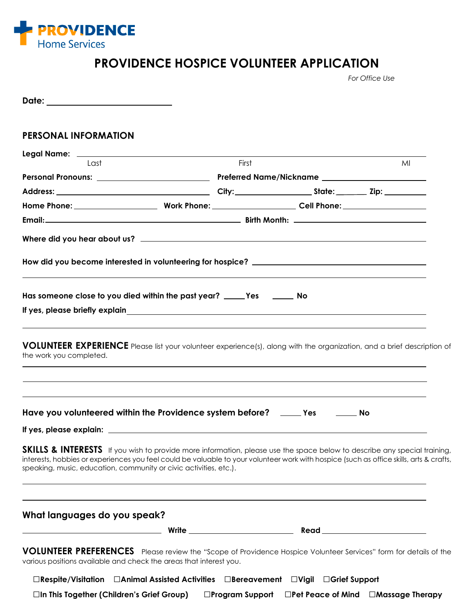

# **PROVIDENCE HOSPICE VOLUNTEER APPLICATION**

*For Office Use*

| Date: __________________________                                                                                                                                                                                                                                                                                                                    |       |  |    |  |  |  |
|-----------------------------------------------------------------------------------------------------------------------------------------------------------------------------------------------------------------------------------------------------------------------------------------------------------------------------------------------------|-------|--|----|--|--|--|
| <b>PERSONAL INFORMATION</b>                                                                                                                                                                                                                                                                                                                         |       |  |    |  |  |  |
|                                                                                                                                                                                                                                                                                                                                                     |       |  |    |  |  |  |
| Last                                                                                                                                                                                                                                                                                                                                                | First |  | MI |  |  |  |
|                                                                                                                                                                                                                                                                                                                                                     |       |  |    |  |  |  |
|                                                                                                                                                                                                                                                                                                                                                     |       |  |    |  |  |  |
|                                                                                                                                                                                                                                                                                                                                                     |       |  |    |  |  |  |
|                                                                                                                                                                                                                                                                                                                                                     |       |  |    |  |  |  |
|                                                                                                                                                                                                                                                                                                                                                     |       |  |    |  |  |  |
|                                                                                                                                                                                                                                                                                                                                                     |       |  |    |  |  |  |
|                                                                                                                                                                                                                                                                                                                                                     |       |  |    |  |  |  |
| Has someone close to you died within the past year? _____Yes ________ No                                                                                                                                                                                                                                                                            |       |  |    |  |  |  |
|                                                                                                                                                                                                                                                                                                                                                     |       |  |    |  |  |  |
| VOLUNTEER EXPERIENCE Please list your volunteer experience(s), along with the organization, and a brief description of<br>the work you completed.                                                                                                                                                                                                   |       |  |    |  |  |  |
| Have you volunteered within the Providence system before? _____ Yes _______ No                                                                                                                                                                                                                                                                      |       |  |    |  |  |  |
|                                                                                                                                                                                                                                                                                                                                                     |       |  |    |  |  |  |
| <b>SKILLS &amp; INTERESTS</b> If you wish to provide more information, please use the space below to describe any special training,<br>interests, hobbies or experiences you feel could be valuable to your volunteer work with hospice (such as office skills, arts & crafts,<br>speaking, music, education, community or civic activities, etc.). |       |  |    |  |  |  |
| What languages do you speak?                                                                                                                                                                                                                                                                                                                        |       |  |    |  |  |  |
|                                                                                                                                                                                                                                                                                                                                                     |       |  |    |  |  |  |
| VOLUNTEER PREFERENCES Please review the "Scope of Providence Hospice Volunteer Services" form for details of the<br>various positions available and check the areas that interest you.                                                                                                                                                              |       |  |    |  |  |  |
| □Respite/Visitation □Animal Assisted Activities □Bereavement □Vigil □Grief Support                                                                                                                                                                                                                                                                  |       |  |    |  |  |  |

**□In This Together (Children's Grief Group) □Program Support □Pet Peace of Mind □Massage Therapy**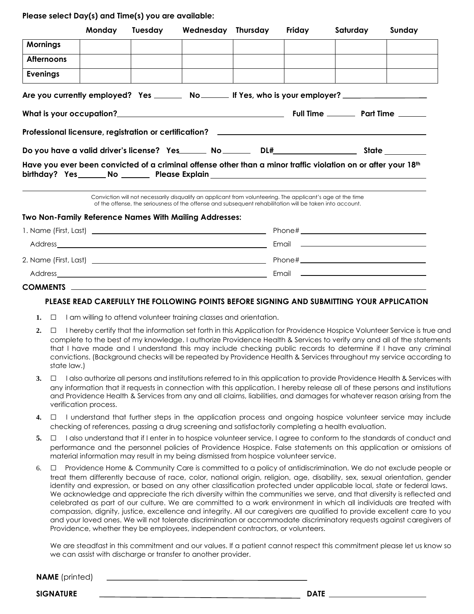**Please select Day(s) and Time(s) you are available:**

| Monday | <b>Tuesday</b> | Wednesday Thursday                                                                                                                                                                                                                                                                                              | Friday | Saturday | Sunday |
|--------|----------------|-----------------------------------------------------------------------------------------------------------------------------------------------------------------------------------------------------------------------------------------------------------------------------------------------------------------|--------|----------|--------|
|        |                |                                                                                                                                                                                                                                                                                                                 |        |          |        |
|        |                |                                                                                                                                                                                                                                                                                                                 |        |          |        |
|        |                |                                                                                                                                                                                                                                                                                                                 |        |          |        |
|        |                | Are you currently employed? Yes _______ No ______ If Yes, who is your employer? ___________________                                                                                                                                                                                                             |        |          |        |
|        |                |                                                                                                                                                                                                                                                                                                                 |        |          |        |
|        |                |                                                                                                                                                                                                                                                                                                                 |        |          |        |
|        |                |                                                                                                                                                                                                                                                                                                                 |        |          |        |
|        |                | Have you ever been convicted of a criminal offense other than a minor traffic violation on or after your 18th<br>birthday? Yes________No _________ Please Explain _______________________________<br>Conviction will not necessarily disquality an applicant from volunteering. The applicant's age at the time |        |          |        |
|        |                | of the offense, the seriousness of the offense and subsequent rehabilitation will be taken into account.<br><b>Two Non-Family Reference Names With Mailing Addresses:</b>                                                                                                                                       |        |          |        |
|        |                |                                                                                                                                                                                                                                                                                                                 |        |          |        |
|        |                |                                                                                                                                                                                                                                                                                                                 |        |          |        |
|        |                |                                                                                                                                                                                                                                                                                                                 |        |          |        |
|        |                |                                                                                                                                                                                                                                                                                                                 |        |          |        |
|        |                |                                                                                                                                                                                                                                                                                                                 |        |          |        |
|        |                |                                                                                                                                                                                                                                                                                                                 |        |          |        |

#### **PLEASE READ CAREFULLY THE FOLLOWING POINTS BEFORE SIGNING AND SUBMITTING YOUR APPLICATION**

- **1.** □ I am willing to attend volunteer training classes and orientation.
- **2.** □ I hereby certify that the information set forth in this Application for Providence Hospice Volunteer Service is true and complete to the best of my knowledge. I authorize Providence Health & Services to verify any and all of the statements that I have made and I understand this may include checking public records to determine if I have any criminal convictions. (Background checks will be repeated by Providence Health & Services throughout my service according to state law.)
- **3.** □ I also authorize all persons and institutions referred to in this application to provide Providence Health & Services with any information that it requests in connection with this application. I hereby release all of these persons and institutions and Providence Health & Services from any and all claims, liabilities, and damages for whatever reason arising from the verification process.
- **4.** □ I understand that further steps in the application process and ongoing hospice volunteer service may include checking of references, passing a drug screening and satisfactorily completing a health evaluation.
- **5.** □ I also understand that if I enter in to hospice volunteer service, I agree to conform to the standards of conduct and performance and the personnel policies of Providence Hospice. False statements on this application or omissions of material information may result in my being dismissed from hospice volunteer service.
- 6. □ Providence Home & Community Care is committed to a policy of antidiscrimination. We do not exclude people or treat them differently because of race, color, national origin, religion, age, disability, sex, sexual orientation, gender identity and expression, or based on any other classification protected under applicable local, state or federal laws. We acknowledge and appreciate the rich diversity within the communities we serve, and that diversity is reflected and celebrated as part of our culture. We are committed to a work environment in which all individuals are treated with compassion, dignity, justice, excellence and integrity. All our caregivers are qualified to provide excellent care to you and your loved ones. We will not tolerate discrimination or accommodate discriminatory requests against caregivers of Providence, whether they be employees, independent contractors, or volunteers.

We are steadfast in this commitment and our values. If a patient cannot respect this commitment please let us know so we can assist with discharge or transfer to another provider.

**NAME** (printed)

**SIGNATURE DATE**